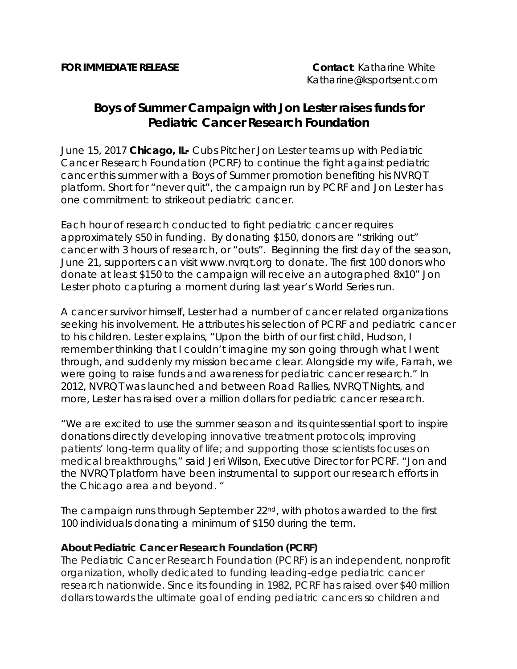## *Boys of Summer* **Campaign with Jon Lester raises funds for Pediatric Cancer Research Foundation**

June 15, 2017 **Chicago, IL-** Cubs Pitcher Jon Lester teams up with Pediatric Cancer Research Foundation (PCRF) to continue the fight against pediatric cancer this summer with a *Boys of Summer* promotion benefiting his NVRQT platform. Short for "never quit", the campaign run by PCRF and Jon Lester has one commitment: to strikeout pediatric cancer.

Each hour of research conducted to fight pediatric cancer requires approximately \$50 in funding. By donating \$150, donors are "striking out" cancer with 3 hours of research, or "outs". Beginning the first day of the season, June 21, supporters can visit www.nvrqt.org to donate. The first 100 donors who donate at least \$150 to the campaign will receive an autographed 8x10" Jon Lester photo capturing a moment during last year's World Series run.

A cancer survivor himself, Lester had a number of cancer related organizations seeking his involvement. He attributes his selection of PCRF and pediatric cancer to his children. Lester explains, "Upon the birth of our first child, Hudson, I remember thinking that I couldn't imagine my son going through what I went through, and suddenly my mission became clear. Alongside my wife, Farrah, we were going to raise funds and awareness for pediatric cancer research." In 2012, NVRQT was launched and between Road Rallies, NVRQT Nights, and more, Lester has raised over a million dollars for pediatric cancer research.

"We are excited to use the summer season and its quintessential sport to inspire donations directly developing innovative treatment protocols; improving patients' long-term quality of life; and supporting those scientists focuses on medical breakthroughs,*"* said Jeri Wilson, Executive Director for PCRF*. "*Jon and the NVRQT platform have been instrumental to support our research efforts in the Chicago area and beyond. "

The campaign runs through September 22<sup>nd</sup>, with photos awarded to the first 100 individuals donating a minimum of \$150 during the term.

## *About Pediatric Cancer Research Foundation (PCRF)*

*The Pediatric Cancer Research Foundation (PCRF) is an independent, nonprofit organization, wholly dedicated to funding leading-edge pediatric cancer research nationwide. Since its founding in 1982, PCRF has raised over \$40 million dollars towards the ultimate goal of ending pediatric cancers so children and*